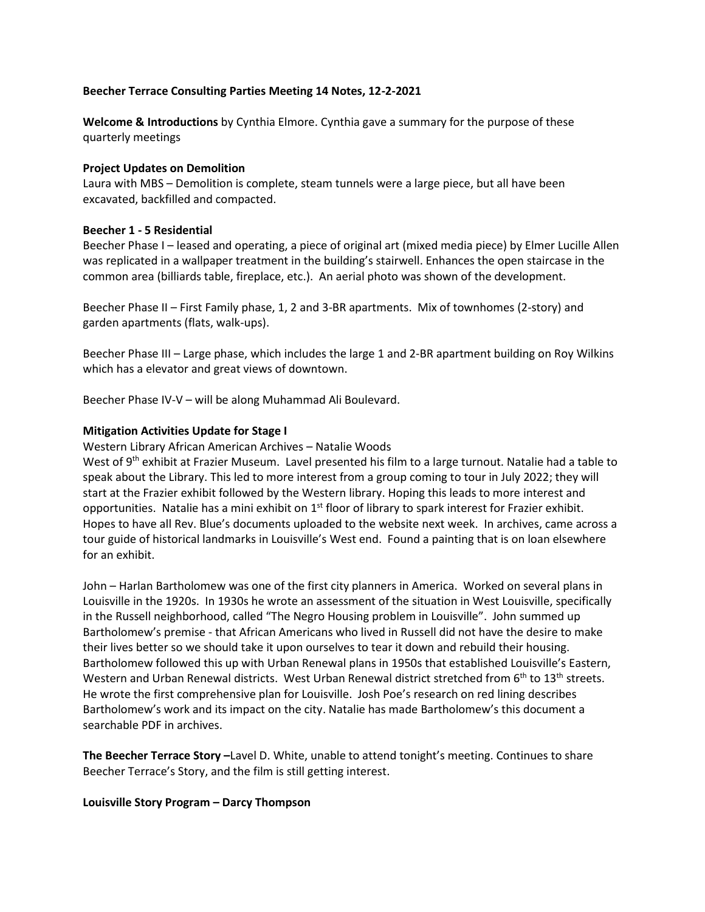# **Beecher Terrace Consulting Parties Meeting 14 Notes, 12-2-2021**

**Welcome & Introductions** by Cynthia Elmore. Cynthia gave a summary for the purpose of these quarterly meetings

### **Project Updates on Demolition**

Laura with MBS – Demolition is complete, steam tunnels were a large piece, but all have been excavated, backfilled and compacted.

# **Beecher 1 - 5 Residential**

Beecher Phase I – leased and operating, a piece of original art (mixed media piece) by Elmer Lucille Allen was replicated in a wallpaper treatment in the building's stairwell. Enhances the open staircase in the common area (billiards table, fireplace, etc.). An aerial photo was shown of the development.

Beecher Phase II – First Family phase, 1, 2 and 3-BR apartments. Mix of townhomes (2-story) and garden apartments (flats, walk-ups).

Beecher Phase III – Large phase, which includes the large 1 and 2-BR apartment building on Roy Wilkins which has a elevator and great views of downtown.

Beecher Phase IV-V – will be along Muhammad Ali Boulevard.

# **Mitigation Activities Update for Stage I**

Western Library African American Archives – Natalie Woods

West of 9<sup>th</sup> exhibit at Frazier Museum. Lavel presented his film to a large turnout. Natalie had a table to speak about the Library. This led to more interest from a group coming to tour in July 2022; they will start at the Frazier exhibit followed by the Western library. Hoping this leads to more interest and opportunities. Natalie has a mini exhibit on  $1<sup>st</sup>$  floor of library to spark interest for Frazier exhibit. Hopes to have all Rev. Blue's documents uploaded to the website next week. In archives, came across a tour guide of historical landmarks in Louisville's West end. Found a painting that is on loan elsewhere for an exhibit.

John – Harlan Bartholomew was one of the first city planners in America. Worked on several plans in Louisville in the 1920s. In 1930s he wrote an assessment of the situation in West Louisville, specifically in the Russell neighborhood, called "The Negro Housing problem in Louisville". John summed up Bartholomew's premise - that African Americans who lived in Russell did not have the desire to make their lives better so we should take it upon ourselves to tear it down and rebuild their housing. Bartholomew followed this up with Urban Renewal plans in 1950s that established Louisville's Eastern, Western and Urban Renewal districts. West Urban Renewal district stretched from 6<sup>th</sup> to 13<sup>th</sup> streets. He wrote the first comprehensive plan for Louisville. Josh Poe's research on red lining describes Bartholomew's work and its impact on the city. Natalie has made Bartholomew's this document a searchable PDF in archives.

**The Beecher Terrace Story –**Lavel D. White, unable to attend tonight's meeting. Continues to share Beecher Terrace's Story, and the film is still getting interest.

#### **Louisville Story Program – Darcy Thompson**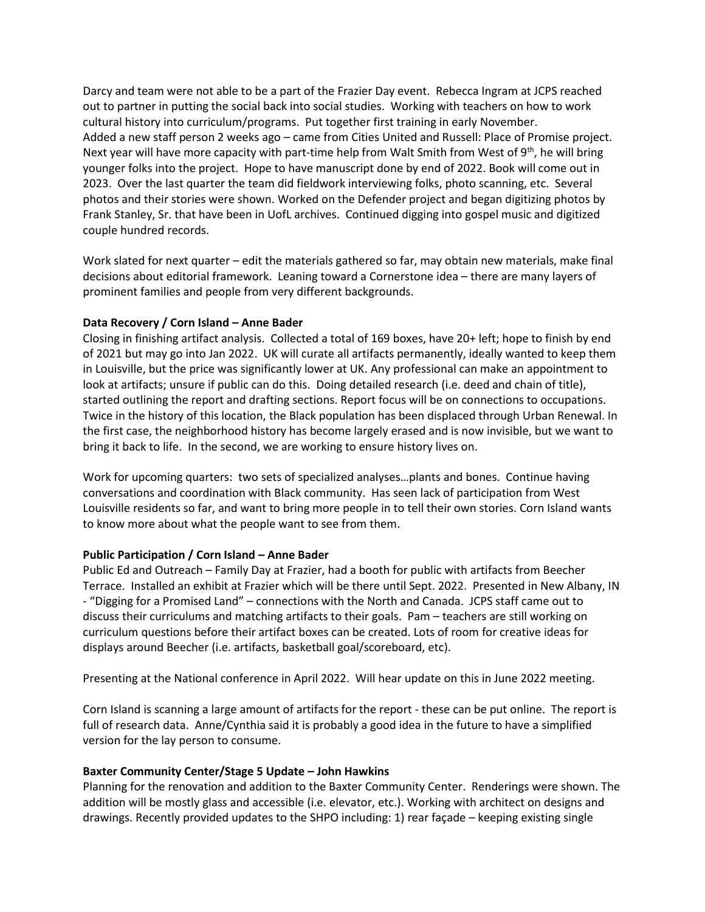Darcy and team were not able to be a part of the Frazier Day event. Rebecca Ingram at JCPS reached out to partner in putting the social back into social studies. Working with teachers on how to work cultural history into curriculum/programs. Put together first training in early November. Added a new staff person 2 weeks ago – came from Cities United and Russell: Place of Promise project. Next year will have more capacity with part-time help from Walt Smith from West of  $9<sup>th</sup>$ , he will bring younger folks into the project. Hope to have manuscript done by end of 2022. Book will come out in 2023. Over the last quarter the team did fieldwork interviewing folks, photo scanning, etc. Several photos and their stories were shown. Worked on the Defender project and began digitizing photos by Frank Stanley, Sr. that have been in UofL archives. Continued digging into gospel music and digitized couple hundred records.

Work slated for next quarter – edit the materials gathered so far, may obtain new materials, make final decisions about editorial framework. Leaning toward a Cornerstone idea – there are many layers of prominent families and people from very different backgrounds.

# **Data Recovery / Corn Island – Anne Bader**

Closing in finishing artifact analysis. Collected a total of 169 boxes, have 20+ left; hope to finish by end of 2021 but may go into Jan 2022. UK will curate all artifacts permanently, ideally wanted to keep them in Louisville, but the price was significantly lower at UK. Any professional can make an appointment to look at artifacts; unsure if public can do this. Doing detailed research (i.e. deed and chain of title), started outlining the report and drafting sections. Report focus will be on connections to occupations. Twice in the history of this location, the Black population has been displaced through Urban Renewal. In the first case, the neighborhood history has become largely erased and is now invisible, but we want to bring it back to life. In the second, we are working to ensure history lives on.

Work for upcoming quarters: two sets of specialized analyses…plants and bones. Continue having conversations and coordination with Black community. Has seen lack of participation from West Louisville residents so far, and want to bring more people in to tell their own stories. Corn Island wants to know more about what the people want to see from them.

#### **Public Participation / Corn Island – Anne Bader**

Public Ed and Outreach – Family Day at Frazier, had a booth for public with artifacts from Beecher Terrace. Installed an exhibit at Frazier which will be there until Sept. 2022. Presented in New Albany, IN - "Digging for a Promised Land" – connections with the North and Canada. JCPS staff came out to discuss their curriculums and matching artifacts to their goals. Pam – teachers are still working on curriculum questions before their artifact boxes can be created. Lots of room for creative ideas for displays around Beecher (i.e. artifacts, basketball goal/scoreboard, etc).

Presenting at the National conference in April 2022. Will hear update on this in June 2022 meeting.

Corn Island is scanning a large amount of artifacts for the report - these can be put online. The report is full of research data. Anne/Cynthia said it is probably a good idea in the future to have a simplified version for the lay person to consume.

#### **Baxter Community Center/Stage 5 Update – John Hawkins**

Planning for the renovation and addition to the Baxter Community Center. Renderings were shown. The addition will be mostly glass and accessible (i.e. elevator, etc.). Working with architect on designs and drawings. Recently provided updates to the SHPO including: 1) rear façade – keeping existing single